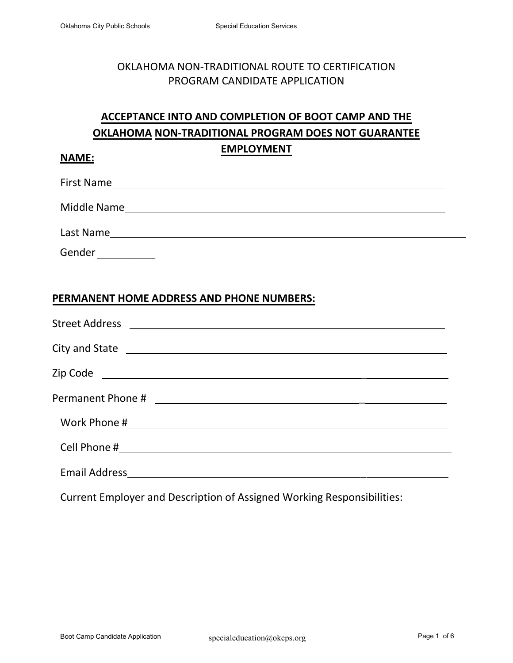## OKLAHOMA NON-TRADITIONAL ROUTE TO CERTIFICATION PROGRAM CANDIDATE APPLICATION

# **ACCEPTANCE INTO AND COMPLETION OF BOOT CAMP AND THE OKLAHOMA NON-TRADITIONAL PROGRAM DOES NOT GUARANTEE EMPLOYMENT**

#### **NAME:**

First Name

Middle Name

Last Name

Gender \_\_\_\_\_\_\_\_\_\_\_\_\_

### **PERMANENT HOME ADDRESS AND PHONE NUMBERS:**

| Work Phone # 2008 2009 2009 2009 2009 2010 2020 2031 2040 2040 2050 2061 2071 2082 2093 2009 2010 2011 2012 20 |
|----------------------------------------------------------------------------------------------------------------|
|                                                                                                                |
|                                                                                                                |

Current Employer and Description of Assigned Working Responsibilities: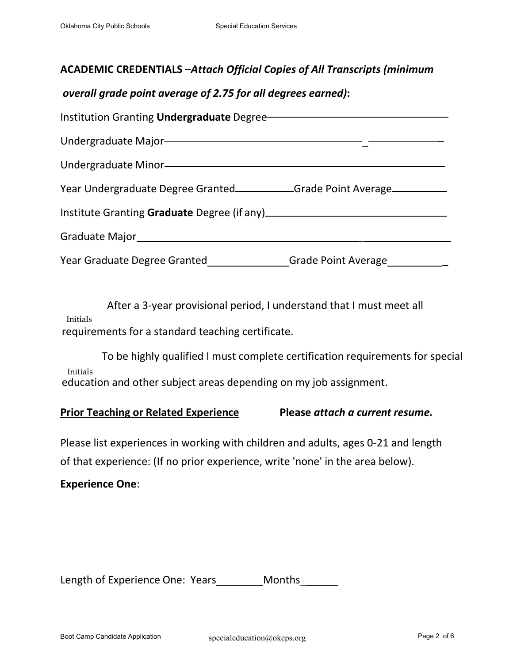### **ACADEMIC CREDENTIALS –***Attach Official Copies of All Transcripts (minimum*

### *overall grade point average of 2.75 for all degrees earned)***:**

| Institution Granting Undergraduate Degree-                                                                                                                                                                                       |                               |
|----------------------------------------------------------------------------------------------------------------------------------------------------------------------------------------------------------------------------------|-------------------------------|
| Undergraduate Major-<br>Manuscriptus Antonio Major and Major and Manuscriptus Antonio Major and Major Antonio Major Antonio Major Antonio Major Antonio Major Antonio Major Antonio Major Antonio Major Antonio Major Antonio Ma |                               |
| Undergraduate Minor-<br>and the Minor-                                                                                                                                                                                           |                               |
| Year Undergraduate Degree Granted______________Grade Point Average_____________                                                                                                                                                  |                               |
|                                                                                                                                                                                                                                  |                               |
|                                                                                                                                                                                                                                  |                               |
| Year Graduate Degree Granted________________                                                                                                                                                                                     | Grade Point Average__________ |

After a 3-year provisional period, I understand that I must meet all Initials requirements for a standard teaching certificate.

To be highly qualified I must complete certification requirements for special Initials education and other subject areas depending on my job assignment.

#### **Prior Teaching or Related Experience Please** *attach a current resume.*

Please list experiences in working with children and adults, ages 0-21 and length of that experience: (If no prior experience, write 'none' in the area below).

#### **Experience One**:

Length of Experience One: Years Months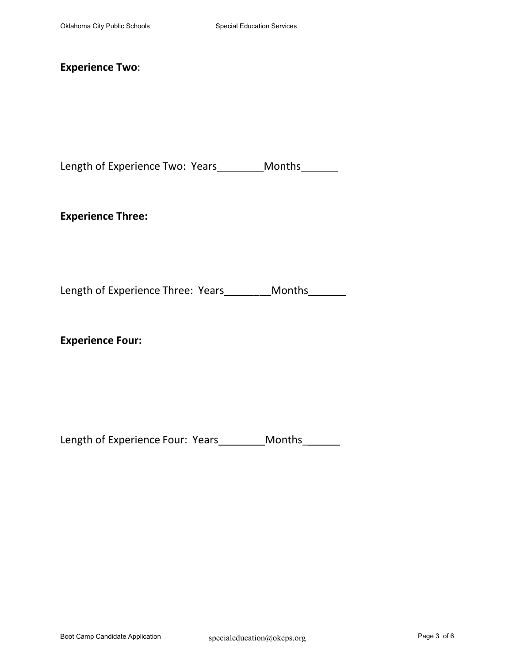### **Experience Two**:

Length of Experience Two: Years\_\_\_\_\_\_\_\_\_ Months\_\_\_\_\_\_\_

**Experience Three:**

Length of Experience Three: Years\_\_\_\_\_\_\_Months\_\_\_\_\_\_

**Experience Four:**

Length of Experience Four: Years\_\_\_\_\_\_\_\_\_ Months\_\_\_\_\_\_\_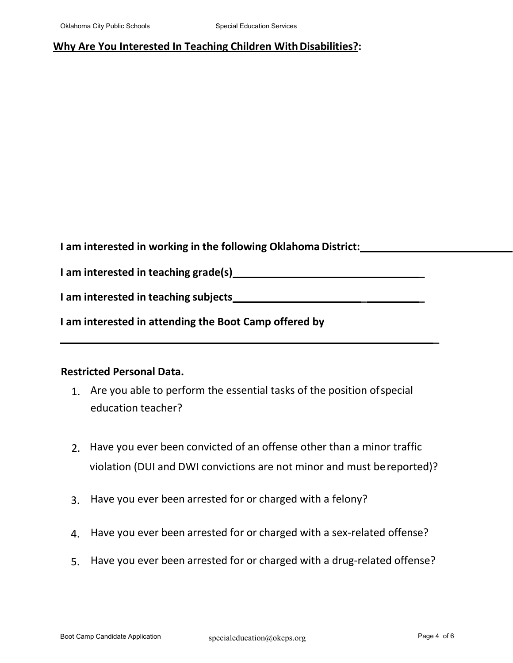#### **Why Are You Interested In Teaching Children With Disabilities?:**

**I am interested in working in the following Oklahoma District:**

**I am interested in teaching grade(s) \_** 

**I am interested in teaching subjects \_ \_** 

**I am interested in attending the Boot Camp offered by**

#### **Restricted Personal Data.**

- 1. Are you able to perform the essential tasks of the position ofspecial education teacher?
- 2. Have you ever been convicted of an offense other than a minor traffic violation (DUI and DWI convictions are not minor and must bereported)?
- 3. Have you ever been arrested for or charged with a felony?
- 4. Have you ever been arrested for or charged with a sex-related offense?
- 5. Have you ever been arrested for or charged with a drug-related offense?

**\_**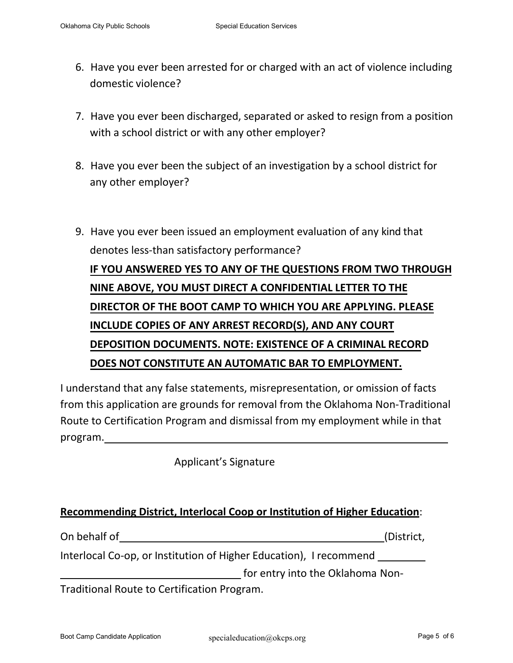- 6. Have you ever been arrested for or charged with an act of violence including domestic violence?
- 7. Have you ever been discharged, separated or asked to resign from a position with a school district or with any other employer?
- 8. Have you ever been the subject of an investigation by a school district for any other employer?
- 9. Have you ever been issued an employment evaluation of any kind that denotes less-than satisfactory performance? **IF YOU ANSWERED YES TO ANY OF THE QUESTIONS FROM TWO THROUGH NINE ABOVE, YOU MUST DIRECT A CONFIDENTIAL LETTER TO THE DIRECTOR OF THE BOOT CAMP TO WHICH YOU ARE APPLYING. PLEASE INCLUDE COPIES OF ANY ARREST RECORD(S), AND ANY COURT DEPOSITION DOCUMENTS. NOTE: EXISTENCE OF A CRIMINAL RECORD DOES NOT CONSTITUTE AN AUTOMATIC BAR TO EMPLOYMENT.**

I understand that any false statements, misrepresentation, or omission of facts from this application are grounds for removal from the Oklahoma Non-Traditional Route to Certification Program and dismissal from my employment while in that program.

Applicant's Signature

### **Recommending District, Interlocal Coop or Institution of Higher Education**:

| On behalf of                                                       | (District, |
|--------------------------------------------------------------------|------------|
| Interlocal Co-op, or Institution of Higher Education), I recommend |            |
| for entry into the Oklahoma Non-                                   |            |
| Traditional Route to Certification Program.                        |            |